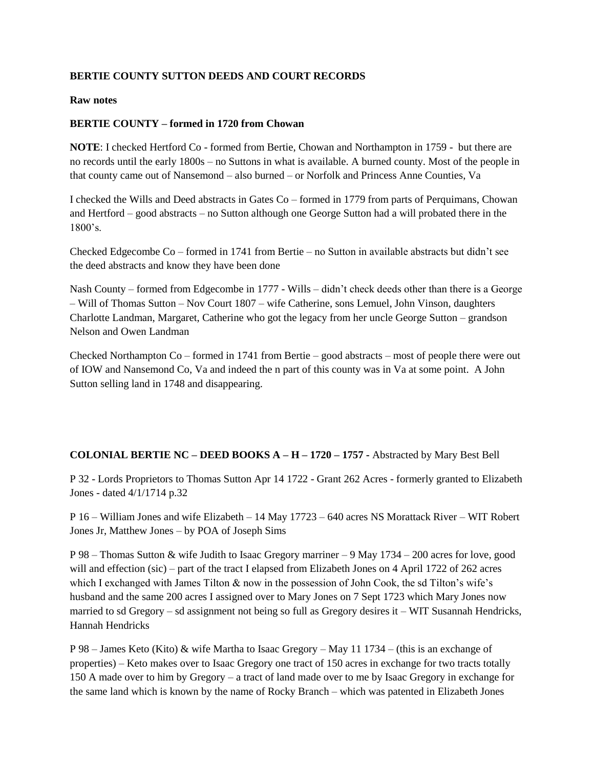## **BERTIE COUNTY SUTTON DEEDS AND COURT RECORDS**

#### **Raw notes**

## **BERTIE COUNTY – formed in 1720 from Chowan**

**NOTE**: I checked Hertford Co - formed from Bertie, Chowan and Northampton in 1759 - but there are no records until the early 1800s – no Suttons in what is available. A burned county. Most of the people in that county came out of Nansemond – also burned – or Norfolk and Princess Anne Counties, Va

I checked the Wills and Deed abstracts in Gates Co – formed in 1779 from parts of Perquimans, Chowan and Hertford – good abstracts – no Sutton although one George Sutton had a will probated there in the 1800's.

Checked Edgecombe Co – formed in 1741 from Bertie – no Sutton in available abstracts but didn't see the deed abstracts and know they have been done

Nash County – formed from Edgecombe in 1777 - Wills – didn't check deeds other than there is a George – Will of Thomas Sutton – Nov Court 1807 – wife Catherine, sons Lemuel, John Vinson, daughters Charlotte Landman, Margaret, Catherine who got the legacy from her uncle George Sutton – grandson Nelson and Owen Landman

Checked Northampton Co – formed in 1741 from Bertie – good abstracts – most of people there were out of IOW and Nansemond Co, Va and indeed the n part of this county was in Va at some point. A John Sutton selling land in 1748 and disappearing.

## **COLONIAL BERTIE NC – DEED BOOKS A – H – 1720 – 1757 -** Abstracted by Mary Best Bell

P 32 - Lords Proprietors to Thomas Sutton Apr 14 1722 - Grant 262 Acres - formerly granted to Elizabeth Jones - dated 4/1/1714 p.32

P 16 – William Jones and wife Elizabeth – 14 May 17723 – 640 acres NS Morattack River – WIT Robert Jones Jr, Matthew Jones – by POA of Joseph Sims

P 98 – Thomas Sutton & wife Judith to Isaac Gregory marriner – 9 May 1734 – 200 acres for love, good will and effection (sic) – part of the tract I elapsed from Elizabeth Jones on 4 April 1722 of 262 acres which I exchanged with James Tilton & now in the possession of John Cook, the sd Tilton's wife's husband and the same 200 acres I assigned over to Mary Jones on 7 Sept 1723 which Mary Jones now married to sd Gregory – sd assignment not being so full as Gregory desires it – WIT Susannah Hendricks, Hannah Hendricks

P 98 – James Keto (Kito) & wife Martha to Isaac Gregory – May 11 1734 – (this is an exchange of properties) – Keto makes over to Isaac Gregory one tract of 150 acres in exchange for two tracts totally 150 A made over to him by Gregory – a tract of land made over to me by Isaac Gregory in exchange for the same land which is known by the name of Rocky Branch – which was patented in Elizabeth Jones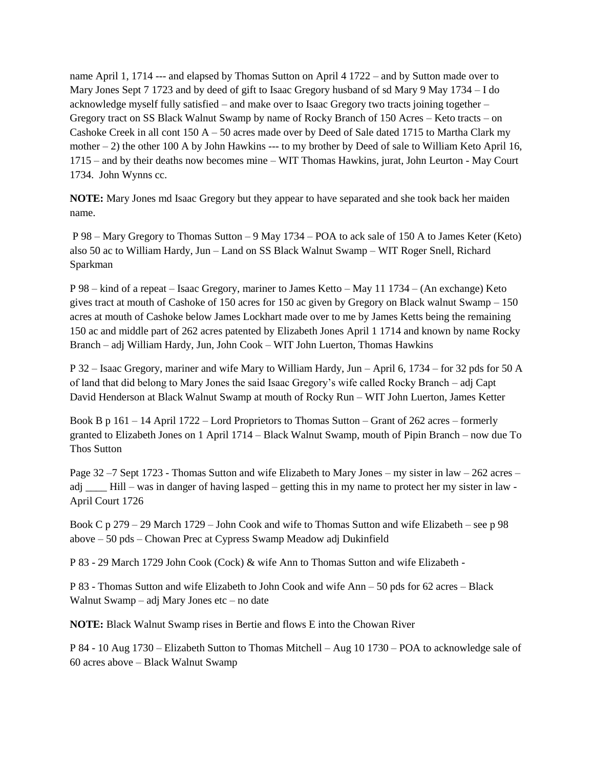name April 1, 1714 --- and elapsed by Thomas Sutton on April 4 1722 – and by Sutton made over to Mary Jones Sept 7 1723 and by deed of gift to Isaac Gregory husband of sd Mary 9 May 1734 – I do acknowledge myself fully satisfied – and make over to Isaac Gregory two tracts joining together – Gregory tract on SS Black Walnut Swamp by name of Rocky Branch of 150 Acres – Keto tracts – on Cashoke Creek in all cont  $150 A - 50$  acres made over by Deed of Sale dated 1715 to Martha Clark my mother – 2) the other 100 A by John Hawkins --- to my brother by Deed of sale to William Keto April 16, 1715 – and by their deaths now becomes mine – WIT Thomas Hawkins, jurat, John Leurton - May Court 1734. John Wynns cc.

**NOTE:** Mary Jones md Isaac Gregory but they appear to have separated and she took back her maiden name.

P 98 – Mary Gregory to Thomas Sutton – 9 May 1734 – POA to ack sale of 150 A to James Keter (Keto) also 50 ac to William Hardy, Jun – Land on SS Black Walnut Swamp – WIT Roger Snell, Richard Sparkman

P 98 – kind of a repeat – Isaac Gregory, mariner to James Ketto – May 11 1734 – (An exchange) Keto gives tract at mouth of Cashoke of 150 acres for 150 ac given by Gregory on Black walnut Swamp – 150 acres at mouth of Cashoke below James Lockhart made over to me by James Ketts being the remaining 150 ac and middle part of 262 acres patented by Elizabeth Jones April 1 1714 and known by name Rocky Branch – adj William Hardy, Jun, John Cook – WIT John Luerton, Thomas Hawkins

P 32 – Isaac Gregory, mariner and wife Mary to William Hardy, Jun – April 6, 1734 – for 32 pds for 50 A of land that did belong to Mary Jones the said Isaac Gregory's wife called Rocky Branch – adj Capt David Henderson at Black Walnut Swamp at mouth of Rocky Run – WIT John Luerton, James Ketter

Book B p 161 – 14 April 1722 – Lord Proprietors to Thomas Sutton – Grant of 262 acres – formerly granted to Elizabeth Jones on 1 April 1714 – Black Walnut Swamp, mouth of Pipin Branch – now due To Thos Sutton

Page 32 –7 Sept 1723 - Thomas Sutton and wife Elizabeth to Mary Jones – my sister in law – 262 acres – adj \_\_\_\_ Hill – was in danger of having lasped – getting this in my name to protect her my sister in law - April Court 1726

Book C p 279 – 29 March 1729 – John Cook and wife to Thomas Sutton and wife Elizabeth – see p 98 above – 50 pds – Chowan Prec at Cypress Swamp Meadow adj Dukinfield

P 83 - 29 March 1729 John Cook (Cock) & wife Ann to Thomas Sutton and wife Elizabeth -

P 83 - Thomas Sutton and wife Elizabeth to John Cook and wife Ann – 50 pds for 62 acres – Black Walnut Swamp – adj Mary Jones etc – no date

**NOTE:** Black Walnut Swamp rises in Bertie and flows E into the Chowan River

P 84 - 10 Aug 1730 – Elizabeth Sutton to Thomas Mitchell – Aug 10 1730 – POA to acknowledge sale of 60 acres above – Black Walnut Swamp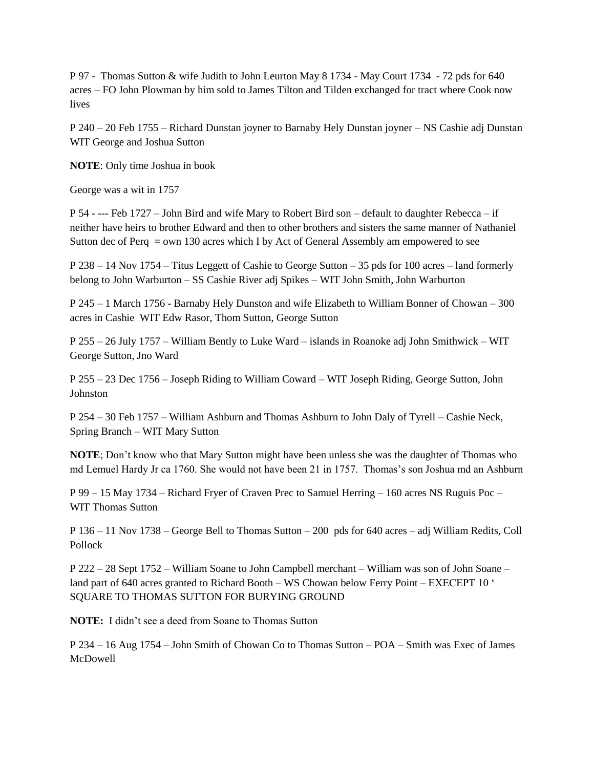P 97 - Thomas Sutton & wife Judith to John Leurton May 8 1734 - May Court 1734 - 72 pds for 640 acres – FO John Plowman by him sold to James Tilton and Tilden exchanged for tract where Cook now lives

P 240 – 20 Feb 1755 – Richard Dunstan joyner to Barnaby Hely Dunstan joyner – NS Cashie adj Dunstan WIT George and Joshua Sutton

**NOTE**: Only time Joshua in book

George was a wit in 1757

P 54 - --- Feb 1727 – John Bird and wife Mary to Robert Bird son – default to daughter Rebecca – if neither have heirs to brother Edward and then to other brothers and sisters the same manner of Nathaniel Sutton dec of Perq = own 130 acres which I by Act of General Assembly am empowered to see

P 238 – 14 Nov 1754 – Titus Leggett of Cashie to George Sutton – 35 pds for 100 acres – land formerly belong to John Warburton – SS Cashie River adj Spikes – WIT John Smith, John Warburton

P 245 – 1 March 1756 - Barnaby Hely Dunston and wife Elizabeth to William Bonner of Chowan – 300 acres in Cashie WIT Edw Rasor, Thom Sutton, George Sutton

P 255 – 26 July 1757 – William Bently to Luke Ward – islands in Roanoke adj John Smithwick – WIT George Sutton, Jno Ward

P 255 – 23 Dec 1756 – Joseph Riding to William Coward – WIT Joseph Riding, George Sutton, John Johnston

P 254 – 30 Feb 1757 – William Ashburn and Thomas Ashburn to John Daly of Tyrell – Cashie Neck, Spring Branch – WIT Mary Sutton

**NOTE**; Don't know who that Mary Sutton might have been unless she was the daughter of Thomas who md Lemuel Hardy Jr ca 1760. She would not have been 21 in 1757. Thomas's son Joshua md an Ashburn

P 99 – 15 May 1734 – Richard Fryer of Craven Prec to Samuel Herring – 160 acres NS Ruguis Poc – WIT Thomas Sutton

P 136 – 11 Nov 1738 – George Bell to Thomas Sutton – 200 pds for 640 acres – adj William Redits, Coll Pollock

P 222 – 28 Sept 1752 – William Soane to John Campbell merchant – William was son of John Soane – land part of 640 acres granted to Richard Booth – WS Chowan below Ferry Point – EXECEPT 10  $\cdot$ SQUARE TO THOMAS SUTTON FOR BURYING GROUND

**NOTE:** I didn't see a deed from Soane to Thomas Sutton

P 234 – 16 Aug 1754 – John Smith of Chowan Co to Thomas Sutton – POA – Smith was Exec of James McDowell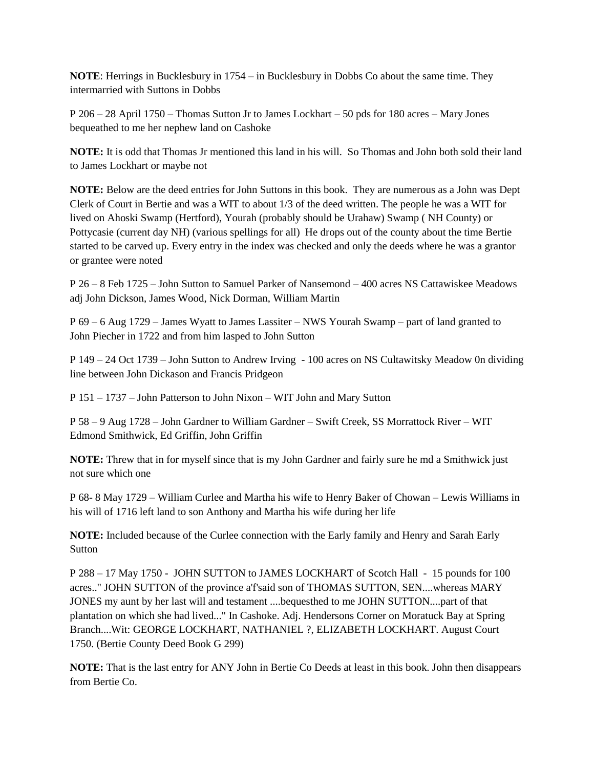**NOTE**: Herrings in Bucklesbury in 1754 – in Bucklesbury in Dobbs Co about the same time. They intermarried with Suttons in Dobbs

P 206 – 28 April 1750 – Thomas Sutton Jr to James Lockhart – 50 pds for 180 acres – Mary Jones bequeathed to me her nephew land on Cashoke

**NOTE:** It is odd that Thomas Jr mentioned this land in his will. So Thomas and John both sold their land to James Lockhart or maybe not

**NOTE:** Below are the deed entries for John Suttons in this book. They are numerous as a John was Dept Clerk of Court in Bertie and was a WIT to about 1/3 of the deed written. The people he was a WIT for lived on Ahoski Swamp (Hertford), Yourah (probably should be Urahaw) Swamp ( NH County) or Pottycasie (current day NH) (various spellings for all) He drops out of the county about the time Bertie started to be carved up. Every entry in the index was checked and only the deeds where he was a grantor or grantee were noted

P 26 – 8 Feb 1725 – John Sutton to Samuel Parker of Nansemond – 400 acres NS Cattawiskee Meadows adj John Dickson, James Wood, Nick Dorman, William Martin

P 69 – 6 Aug 1729 – James Wyatt to James Lassiter – NWS Yourah Swamp – part of land granted to John Piecher in 1722 and from him lasped to John Sutton

P 149 – 24 Oct 1739 – John Sutton to Andrew Irving - 100 acres on NS Cultawitsky Meadow 0n dividing line between John Dickason and Francis Pridgeon

P 151 – 1737 – John Patterson to John Nixon – WIT John and Mary Sutton

P 58 – 9 Aug 1728 – John Gardner to William Gardner – Swift Creek, SS Morrattock River – WIT Edmond Smithwick, Ed Griffin, John Griffin

**NOTE:** Threw that in for myself since that is my John Gardner and fairly sure he md a Smithwick just not sure which one

P 68- 8 May 1729 – William Curlee and Martha his wife to Henry Baker of Chowan – Lewis Williams in his will of 1716 left land to son Anthony and Martha his wife during her life

**NOTE:** Included because of the Curlee connection with the Early family and Henry and Sarah Early **Sutton** 

P 288 – 17 May 1750 - JOHN SUTTON to JAMES LOCKHART of Scotch Hall - 15 pounds for 100 acres.." JOHN SUTTON of the province a'f'said son of THOMAS SUTTON, SEN....whereas MARY JONES my aunt by her last will and testament ....bequesthed to me JOHN SUTTON....part of that plantation on which she had lived..." In Cashoke. Adj. Hendersons Corner on Moratuck Bay at Spring Branch....Wit: GEORGE LOCKHART, NATHANIEL ?, ELIZABETH LOCKHART. August Court 1750. (Bertie County Deed Book G 299)

**NOTE:** That is the last entry for ANY John in Bertie Co Deeds at least in this book. John then disappears from Bertie Co.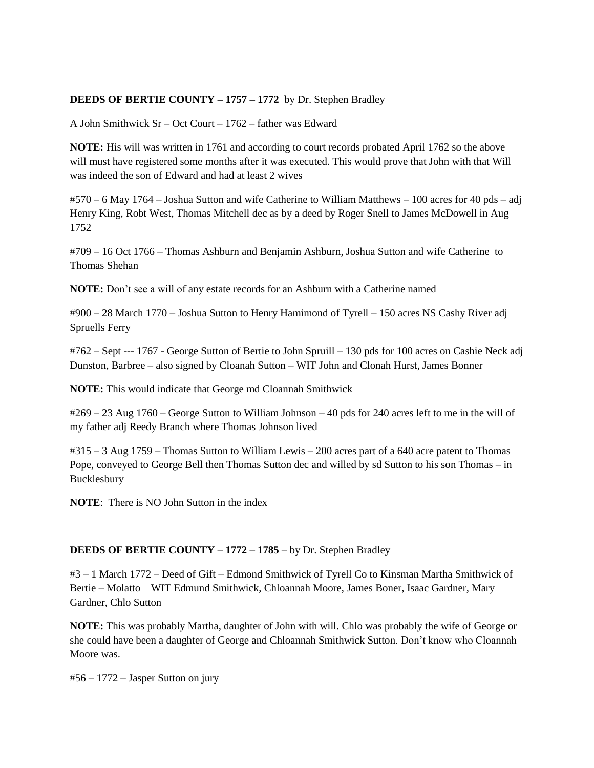## **DEEDS OF BERTIE COUNTY – 1757 – 1772** by Dr. Stephen Bradley

A John Smithwick Sr – Oct Court – 1762 – father was Edward

**NOTE:** His will was written in 1761 and according to court records probated April 1762 so the above will must have registered some months after it was executed. This would prove that John with that Will was indeed the son of Edward and had at least 2 wives

#570 – 6 May 1764 – Joshua Sutton and wife Catherine to William Matthews – 100 acres for 40 pds – adj Henry King, Robt West, Thomas Mitchell dec as by a deed by Roger Snell to James McDowell in Aug 1752

#709 – 16 Oct 1766 – Thomas Ashburn and Benjamin Ashburn, Joshua Sutton and wife Catherine to Thomas Shehan

**NOTE:** Don't see a will of any estate records for an Ashburn with a Catherine named

#900 – 28 March 1770 – Joshua Sutton to Henry Hamimond of Tyrell – 150 acres NS Cashy River adj Spruells Ferry

#762 – Sept --- 1767 - George Sutton of Bertie to John Spruill – 130 pds for 100 acres on Cashie Neck adj Dunston, Barbree – also signed by Cloanah Sutton – WIT John and Clonah Hurst, James Bonner

**NOTE:** This would indicate that George md Cloannah Smithwick

#269 – 23 Aug 1760 – George Sutton to William Johnson – 40 pds for 240 acres left to me in the will of my father adj Reedy Branch where Thomas Johnson lived

#315 – 3 Aug 1759 – Thomas Sutton to William Lewis – 200 acres part of a 640 acre patent to Thomas Pope, conveyed to George Bell then Thomas Sutton dec and willed by sd Sutton to his son Thomas – in Bucklesbury

**NOTE**: There is NO John Sutton in the index

### **DEEDS OF BERTIE COUNTY – 1772 – 1785** – by Dr. Stephen Bradley

#3 – 1 March 1772 – Deed of Gift – Edmond Smithwick of Tyrell Co to Kinsman Martha Smithwick of Bertie – Molatto WIT Edmund Smithwick, Chloannah Moore, James Boner, Isaac Gardner, Mary Gardner, Chlo Sutton

**NOTE:** This was probably Martha, daughter of John with will. Chlo was probably the wife of George or she could have been a daughter of George and Chloannah Smithwick Sutton. Don't know who Cloannah Moore was.

#56 – 1772 – Jasper Sutton on jury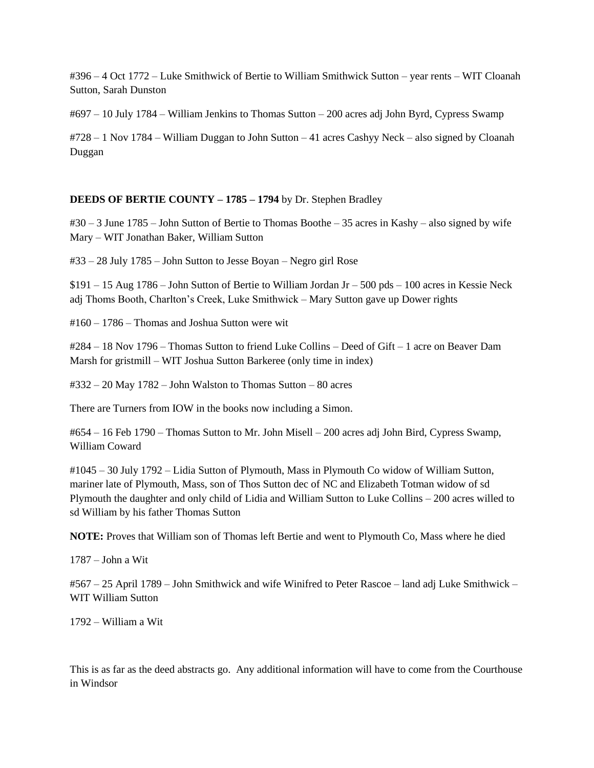#396 – 4 Oct 1772 – Luke Smithwick of Bertie to William Smithwick Sutton – year rents – WIT Cloanah Sutton, Sarah Dunston

#697 – 10 July 1784 – William Jenkins to Thomas Sutton – 200 acres adj John Byrd, Cypress Swamp

#728 – 1 Nov 1784 – William Duggan to John Sutton – 41 acres Cashyy Neck – also signed by Cloanah Duggan

### **DEEDS OF BERTIE COUNTY – 1785 – 1794** by Dr. Stephen Bradley

#30 – 3 June 1785 – John Sutton of Bertie to Thomas Boothe – 35 acres in Kashy – also signed by wife Mary – WIT Jonathan Baker, William Sutton

#33 – 28 July 1785 – John Sutton to Jesse Boyan – Negro girl Rose

\$191 – 15 Aug 1786 – John Sutton of Bertie to William Jordan Jr – 500 pds – 100 acres in Kessie Neck adj Thoms Booth, Charlton's Creek, Luke Smithwick – Mary Sutton gave up Dower rights

#160 – 1786 – Thomas and Joshua Sutton were wit

#284 – 18 Nov 1796 – Thomas Sutton to friend Luke Collins – Deed of Gift – 1 acre on Beaver Dam Marsh for gristmill – WIT Joshua Sutton Barkeree (only time in index)

#332 – 20 May 1782 – John Walston to Thomas Sutton – 80 acres

There are Turners from IOW in the books now including a Simon.

#654 – 16 Feb 1790 – Thomas Sutton to Mr. John Misell – 200 acres adj John Bird, Cypress Swamp, William Coward

#1045 – 30 July 1792 – Lidia Sutton of Plymouth, Mass in Plymouth Co widow of William Sutton, mariner late of Plymouth, Mass, son of Thos Sutton dec of NC and Elizabeth Totman widow of sd Plymouth the daughter and only child of Lidia and William Sutton to Luke Collins – 200 acres willed to sd William by his father Thomas Sutton

**NOTE:** Proves that William son of Thomas left Bertie and went to Plymouth Co, Mass where he died

1787 – John a Wit

#567 – 25 April 1789 – John Smithwick and wife Winifred to Peter Rascoe – land adj Luke Smithwick – WIT William Sutton

1792 – William a Wit

This is as far as the deed abstracts go. Any additional information will have to come from the Courthouse in Windsor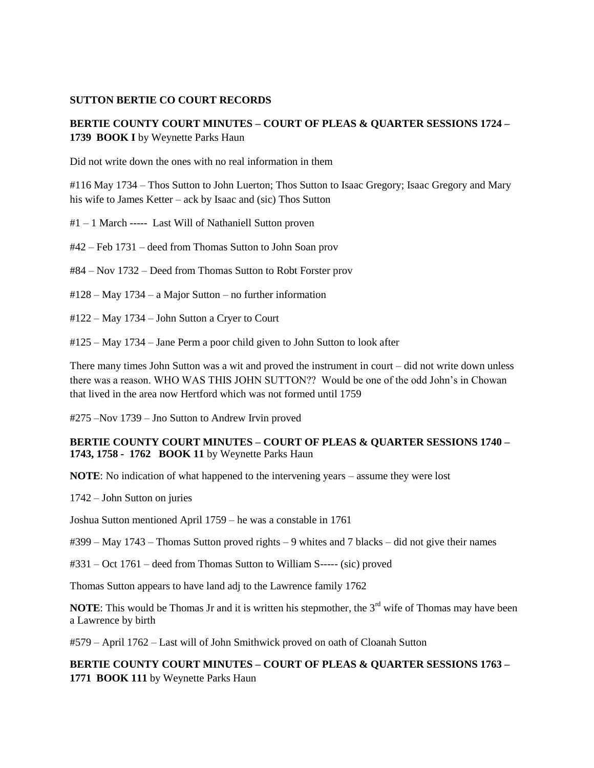#### **SUTTON BERTIE CO COURT RECORDS**

## **BERTIE COUNTY COURT MINUTES – COURT OF PLEAS & QUARTER SESSIONS 1724 – 1739 BOOK I** by Weynette Parks Haun

Did not write down the ones with no real information in them

#116 May 1734 – Thos Sutton to John Luerton; Thos Sutton to Isaac Gregory; Isaac Gregory and Mary his wife to James Ketter – ack by Isaac and (sic) Thos Sutton

#1 – 1 March ----- Last Will of Nathaniell Sutton proven

#42 – Feb 1731 – deed from Thomas Sutton to John Soan prov

#84 – Nov 1732 – Deed from Thomas Sutton to Robt Forster prov

#128 – May 1734 – a Major Sutton – no further information

#122 – May 1734 – John Sutton a Cryer to Court

#125 – May 1734 – Jane Perm a poor child given to John Sutton to look after

There many times John Sutton was a wit and proved the instrument in court – did not write down unless there was a reason. WHO WAS THIS JOHN SUTTON?? Would be one of the odd John's in Chowan that lived in the area now Hertford which was not formed until 1759

#275 –Nov 1739 – Jno Sutton to Andrew Irvin proved

### **BERTIE COUNTY COURT MINUTES – COURT OF PLEAS & QUARTER SESSIONS 1740 – 1743, 1758 - 1762 BOOK 11** by Weynette Parks Haun

**NOTE**: No indication of what happened to the intervening years – assume they were lost

1742 – John Sutton on juries

Joshua Sutton mentioned April 1759 – he was a constable in 1761

#399 – May 1743 – Thomas Sutton proved rights – 9 whites and 7 blacks – did not give their names

#331 – Oct 1761 – deed from Thomas Sutton to William S----- (sic) proved

Thomas Sutton appears to have land adj to the Lawrence family 1762

**NOTE**: This would be Thomas Jr and it is written his stepmother, the 3<sup>rd</sup> wife of Thomas may have been a Lawrence by birth

#579 – April 1762 – Last will of John Smithwick proved on oath of Cloanah Sutton

**BERTIE COUNTY COURT MINUTES – COURT OF PLEAS & QUARTER SESSIONS 1763 – 1771 BOOK 111** by Weynette Parks Haun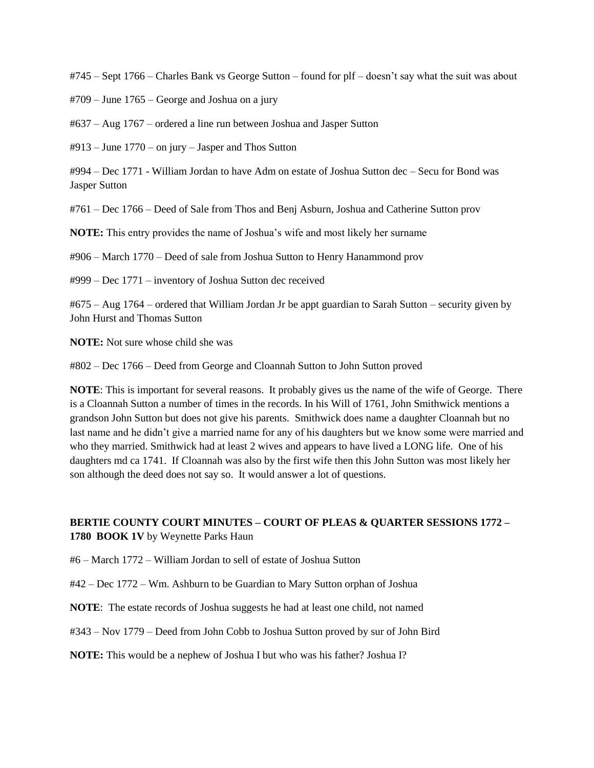#745 – Sept 1766 – Charles Bank vs George Sutton – found for plf – doesn't say what the suit was about

#709 – June 1765 – George and Joshua on a jury

#637 – Aug 1767 – ordered a line run between Joshua and Jasper Sutton

#913 – June 1770 – on jury – Jasper and Thos Sutton

#994 – Dec 1771 - William Jordan to have Adm on estate of Joshua Sutton dec – Secu for Bond was Jasper Sutton

#761 – Dec 1766 – Deed of Sale from Thos and Benj Asburn, Joshua and Catherine Sutton prov

**NOTE:** This entry provides the name of Joshua's wife and most likely her surname

#906 – March 1770 – Deed of sale from Joshua Sutton to Henry Hanammond prov

#999 – Dec 1771 – inventory of Joshua Sutton dec received

#675 – Aug 1764 – ordered that William Jordan Jr be appt guardian to Sarah Sutton – security given by John Hurst and Thomas Sutton

**NOTE:** Not sure whose child she was

#802 – Dec 1766 – Deed from George and Cloannah Sutton to John Sutton proved

**NOTE:** This is important for several reasons. It probably gives us the name of the wife of George. There is a Cloannah Sutton a number of times in the records. In his Will of 1761, John Smithwick mentions a grandson John Sutton but does not give his parents. Smithwick does name a daughter Cloannah but no last name and he didn't give a married name for any of his daughters but we know some were married and who they married. Smithwick had at least 2 wives and appears to have lived a LONG life. One of his daughters md ca 1741. If Cloannah was also by the first wife then this John Sutton was most likely her son although the deed does not say so. It would answer a lot of questions.

# **BERTIE COUNTY COURT MINUTES – COURT OF PLEAS & QUARTER SESSIONS 1772 – 1780 BOOK 1V** by Weynette Parks Haun

#6 – March 1772 – William Jordan to sell of estate of Joshua Sutton

#42 – Dec 1772 – Wm. Ashburn to be Guardian to Mary Sutton orphan of Joshua

**NOTE**: The estate records of Joshua suggests he had at least one child, not named

#343 – Nov 1779 – Deed from John Cobb to Joshua Sutton proved by sur of John Bird

**NOTE:** This would be a nephew of Joshua I but who was his father? Joshua I?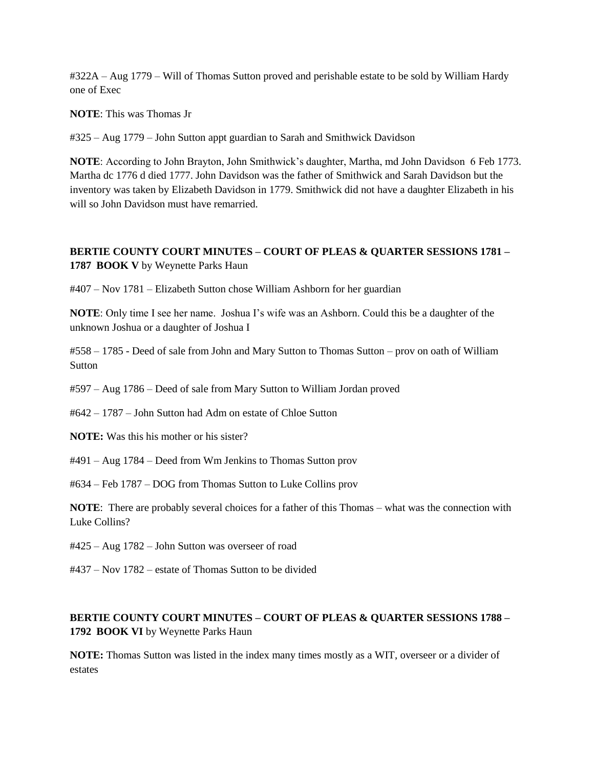#322A – Aug 1779 – Will of Thomas Sutton proved and perishable estate to be sold by William Hardy one of Exec

**NOTE**: This was Thomas Jr

#325 – Aug 1779 – John Sutton appt guardian to Sarah and Smithwick Davidson

**NOTE**: According to John Brayton, John Smithwick's daughter, Martha, md John Davidson 6 Feb 1773. Martha dc 1776 d died 1777. John Davidson was the father of Smithwick and Sarah Davidson but the inventory was taken by Elizabeth Davidson in 1779. Smithwick did not have a daughter Elizabeth in his will so John Davidson must have remarried.

## **BERTIE COUNTY COURT MINUTES – COURT OF PLEAS & QUARTER SESSIONS 1781 – 1787 BOOK V** by Weynette Parks Haun

#407 – Nov 1781 – Elizabeth Sutton chose William Ashborn for her guardian

**NOTE**: Only time I see her name. Joshua I's wife was an Ashborn. Could this be a daughter of the unknown Joshua or a daughter of Joshua I

#558 – 1785 - Deed of sale from John and Mary Sutton to Thomas Sutton – prov on oath of William **Sutton** 

#597 – Aug 1786 – Deed of sale from Mary Sutton to William Jordan proved

#642 – 1787 – John Sutton had Adm on estate of Chloe Sutton

**NOTE:** Was this his mother or his sister?

#491 – Aug 1784 – Deed from Wm Jenkins to Thomas Sutton prov

#634 – Feb 1787 – DOG from Thomas Sutton to Luke Collins prov

**NOTE**: There are probably several choices for a father of this Thomas – what was the connection with Luke Collins?

#425 – Aug 1782 – John Sutton was overseer of road

#437 – Nov 1782 – estate of Thomas Sutton to be divided

# **BERTIE COUNTY COURT MINUTES – COURT OF PLEAS & QUARTER SESSIONS 1788 – 1792 BOOK VI** by Weynette Parks Haun

**NOTE:** Thomas Sutton was listed in the index many times mostly as a WIT, overseer or a divider of estates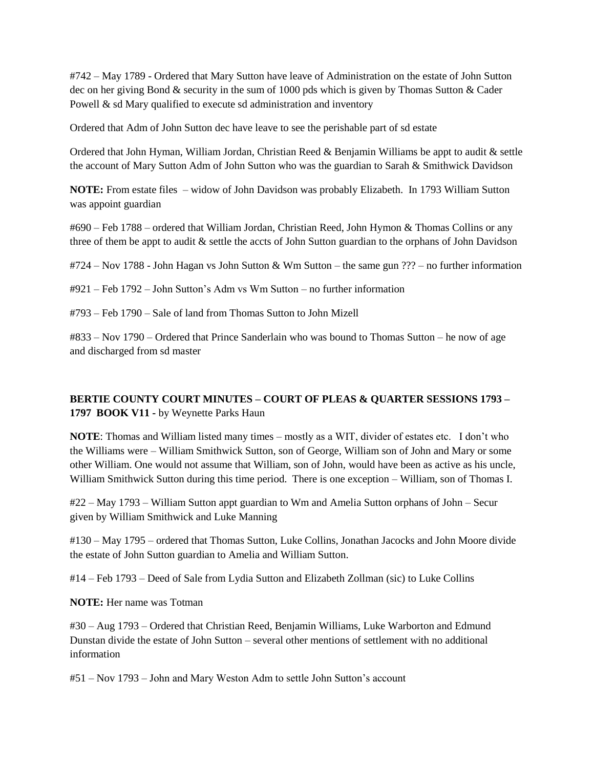#742 – May 1789 - Ordered that Mary Sutton have leave of Administration on the estate of John Sutton dec on her giving Bond & security in the sum of 1000 pds which is given by Thomas Sutton & Cader Powell & sd Mary qualified to execute sd administration and inventory

Ordered that Adm of John Sutton dec have leave to see the perishable part of sd estate

Ordered that John Hyman, William Jordan, Christian Reed & Benjamin Williams be appt to audit & settle the account of Mary Sutton Adm of John Sutton who was the guardian to Sarah & Smithwick Davidson

**NOTE:** From estate files – widow of John Davidson was probably Elizabeth. In 1793 William Sutton was appoint guardian

#690 – Feb 1788 – ordered that William Jordan, Christian Reed, John Hymon & Thomas Collins or any three of them be appt to audit & settle the accts of John Sutton guardian to the orphans of John Davidson

#724 – Nov 1788 - John Hagan vs John Sutton & Wm Sutton – the same gun ??? – no further information

#921 – Feb 1792 – John Sutton's Adm vs Wm Sutton – no further information

#793 – Feb 1790 – Sale of land from Thomas Sutton to John Mizell

#833 – Nov 1790 – Ordered that Prince Sanderlain who was bound to Thomas Sutton – he now of age and discharged from sd master

## **BERTIE COUNTY COURT MINUTES – COURT OF PLEAS & QUARTER SESSIONS 1793 – 1797 BOOK V11 -** by Weynette Parks Haun

**NOTE**: Thomas and William listed many times – mostly as a WIT, divider of estates etc. I don't who the Williams were – William Smithwick Sutton, son of George, William son of John and Mary or some other William. One would not assume that William, son of John, would have been as active as his uncle, William Smithwick Sutton during this time period. There is one exception – William, son of Thomas I.

#22 – May 1793 – William Sutton appt guardian to Wm and Amelia Sutton orphans of John – Secur given by William Smithwick and Luke Manning

#130 – May 1795 – ordered that Thomas Sutton, Luke Collins, Jonathan Jacocks and John Moore divide the estate of John Sutton guardian to Amelia and William Sutton.

#14 – Feb 1793 – Deed of Sale from Lydia Sutton and Elizabeth Zollman (sic) to Luke Collins

**NOTE:** Her name was Totman

#30 – Aug 1793 – Ordered that Christian Reed, Benjamin Williams, Luke Warborton and Edmund Dunstan divide the estate of John Sutton – several other mentions of settlement with no additional information

#51 – Nov 1793 – John and Mary Weston Adm to settle John Sutton's account